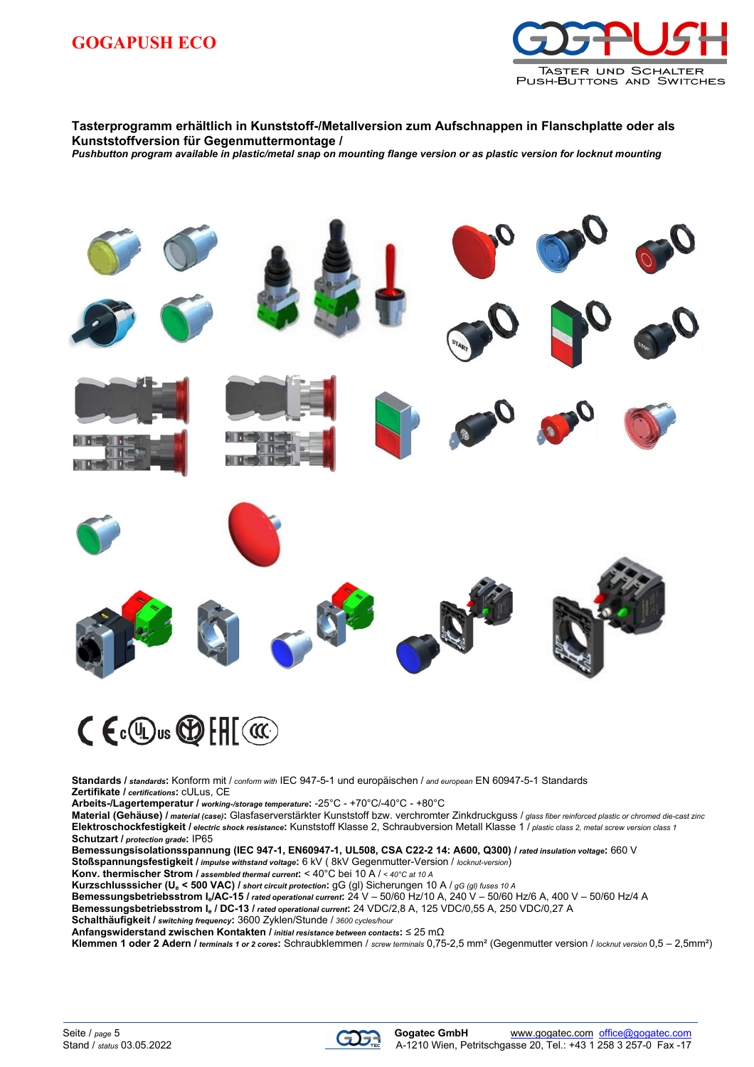

## **Tasterprogramm erhältlich in Kunststoff-/Metallversion zum Aufschnappen in Flanschplatte oder als Kunststoffversion für Gegenmuttermontage /**

*Pushbutton program available in plastic/metal snap on mounting flange version or as plastic version for locknut mounting* 



## $C \in \mathbb{C}$  or  $\mathbb{C}$   $\mathbb{H}$   $\mathbb{C}$

**Standards /** *standards***:** Konform mit / *conform with* IEC 947-5-1 und europäischen / *and european* EN 60947-5-1 Standards **Zertifikate /** *certifications***:** cULus, CE

**Arbeits-/Lagertemperatur /** *working-/storage temperature***:** -25°C - +70°C/-40°C - +80°C

**Material (Gehäuse) /** *material (case)***:** Glasfaserverstärkter Kunststoff bzw. verchromter Zinkdruckguss / *glass fiber reinforced plastic or chromed die-cast zinc* **Elektroschockfestigkeit /** *electric shock resistance***:** Kunststoff Klasse 2, Schraubversion Metall Klasse 1 / *plastic class 2, metal screw version class 1* **Schutzart /** *protection grade***:** IP65

**Bemessungsisolationsspannung (IEC 947-1, EN60947-1, UL508, CSA C22-2 14: A600, Q300) /** *rated insulation voltage***:** 660 V **Stoßspannungsfestigkeit /** *impulse withstand voltage***:** 6 kV ( 8kV Gegenmutter-Version / *locknut-version*)

**Konv. thermischer Strom /** *assembled thermal current***:** < 40°C bei 10 A / *< 40°C at 10 A*

**Kurzschlusssicher (U<sup>e</sup> < 500 VAC) /** *short circuit protection***:** gG (gl) Sicherungen 10 A / *gG (gl) fuses 10 A*

**Bemessungsbetriebsstrom Ie/AC-15 /** *rated operational current***:** 24 V – 50/60 Hz/10 A, 240 V – 50/60 Hz/6 A, 400 V – 50/60 Hz/4 A

**Bemessungsbetriebsstrom I<sup>e</sup> / DC-13 /** *rated operational current***:** 24 VDC/2,8 A, 125 VDC/0,55 A, 250 VDC/0,27 A

**Schalthäufigkeit /** *switching frequency***:** 3600 Zyklen/Stunde / *3600 cycles/hour*

**Anfangswiderstand zwischen Kontakten /** *initial resistance between contacts***:** ≤ 25 mΩ

**Klemmen 1 oder 2 Adern /** *terminals 1 or 2 cores***:** Schraubklemmen / *screw terminals* 0,75-2,5 mm² (Gegenmutter version / *locknut version* 0,5 – 2,5mm²)